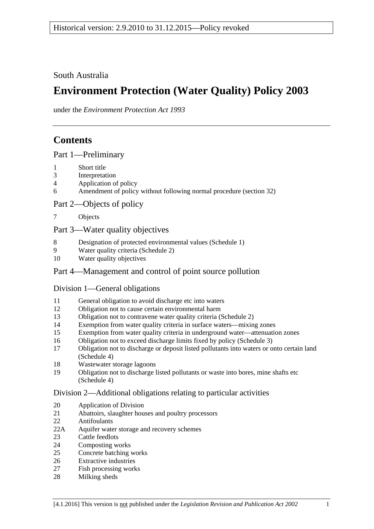South Australia

# **Environment Protection (Water Quality) Policy 2003**

under the *Environment Protection Act 1993*

# **Contents**

[Part 1—Preliminary](#page-1-0)

- [Short title](#page-1-1)
- [Interpretation](#page-1-2)
- [Application of policy](#page-3-0)
- [Amendment of policy without following normal procedure \(section](#page-4-0) 32)

[Part 2—Objects of policy](#page-5-0)

[Objects](#page-5-1)

### [Part 3—Water quality objectives](#page-5-2)

- [Designation of protected environmental values \(Schedule 1\)](#page-5-3)
- [Water quality criteria \(Schedule 2\)](#page-6-0)
- [Water quality objectives](#page-6-1)

# [Part 4—Management and control of point source pollution](#page-6-2)

### [Division 1—General obligations](#page-6-3)

- [General obligation to avoid discharge etc into waters](#page-6-4)
- [Obligation not to cause certain environmental harm](#page-6-5)
- [Obligation not to contravene water quality criteria \(Schedule 2\)](#page-7-0)
- [Exemption from water quality criteria in surface waters—mixing zones](#page-7-1)
- [Exemption from water quality criteria in underground water—attenuation zones](#page-8-0)
- [Obligation not to exceed discharge limits fixed by policy \(Schedule 3\)](#page-9-0)
- [Obligation not to discharge or deposit listed pollutants into waters or onto certain land](#page-9-1)  [\(Schedule 4\)](#page-9-1)
- [Wastewater storage lagoons](#page-9-2)
- [Obligation not to discharge listed pollutants or waste into bores, mine shafts etc](#page-11-0)  [\(Schedule](#page-11-0) 4)

### [Division 2—Additional obligations relating to particular activities](#page-11-1)

- [Application of Division](#page-11-2)
- [Abattoirs, slaughter houses and poultry processors](#page-11-3)
- [Antifoulants](#page-11-4)
- 22A [Aquifer water storage and recovery schemes](#page-12-0)
- [Cattle feedlots](#page-12-1)
- [Composting works](#page-13-0)
- [Concrete batching works](#page-13-1)
- [Extractive industries](#page-14-0)
- [Fish processing works](#page-14-1)
- [Milking sheds](#page-15-0)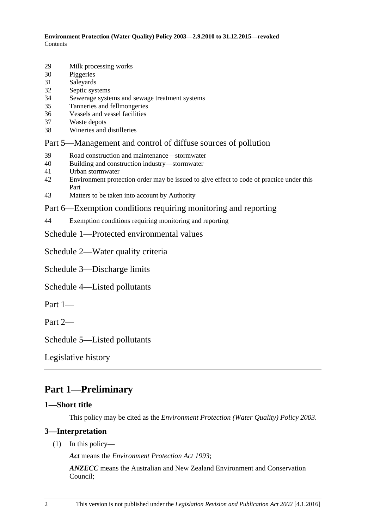**Environment Protection (Water Quality) Policy 2003—2.9.2010 to 31.12.2015—revoked** Contents

- 29 [Milk processing works](#page-15-1)
- 30 [Piggeries](#page-16-0)
- 31 [Saleyards](#page-16-1)
- 32 [Septic systems](#page-17-0)
- 34 [Sewerage systems and sewage treatment systems](#page-18-0)
- 35 [Tanneries and fellmongeries](#page-19-0)
- 36 [Vessels and vessel facilities](#page-19-1)
- 37 [Waste depots](#page-21-0)
- 38 [Wineries and distilleries](#page-22-0)

#### [Part 5—Management and control of diffuse sources of pollution](#page-22-1)

- 39 [Road construction and maintenance—stormwater](#page-22-2)
- 40 [Building and construction industry—stormwater](#page-22-3)
- 41 [Urban stormwater](#page-22-4)
- 42 [Environment protection order may be issued to give effect to code of practice under this](#page-23-0)  [Part](#page-23-0)
- 43 [Matters to be taken into account by Authority](#page-23-1)

#### [Part 6—Exemption conditions requiring monitoring and reporting](#page-23-2)

44 [Exemption conditions requiring monitoring and reporting](#page-23-3)

[Schedule 1—Protected environmental values](#page-23-4)

[Schedule 2—Water quality criteria](#page-25-0)

[Schedule 3—Discharge limits](#page-33-1)

[Schedule 4—Listed pollutants](#page-33-0)

Part 1—

Part 2—

[Schedule 5—Listed pollutants](#page-34-0)

[Legislative history](#page-35-0)

# <span id="page-1-0"></span>**Part 1—Preliminary**

#### <span id="page-1-1"></span>**1—Short title**

This policy may be cited as the *[Environment Protection \(Water Quality\) Policy](http://www.legislation.sa.gov.au/index.aspx?action=legref&type=subordleg&legtitle=Environment%20Protection%20(Water%20Quality)%20Policy%202003) 2003*.

#### <span id="page-1-2"></span>**3—Interpretation**

(1) In this policy—

*Act* means the *[Environment Protection Act](http://www.legislation.sa.gov.au/index.aspx?action=legref&type=act&legtitle=Environment%20Protection%20Act%201993) 1993*;

*ANZECC* means the Australian and New Zealand Environment and Conservation Council;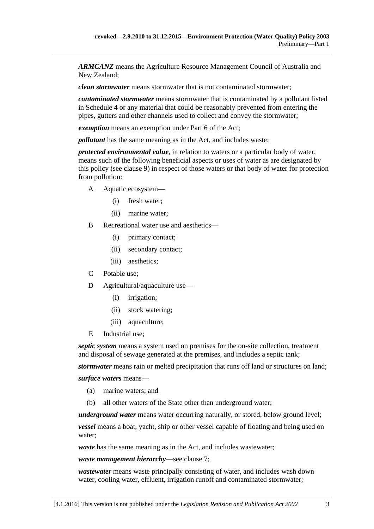*ARMCANZ* means the Agriculture Resource Management Council of Australia and New Zealand;

*clean stormwater* means stormwater that is not contaminated stormwater;

*contaminated stormwater* means stormwater that is contaminated by a pollutant listed in [Schedule 4](#page-33-0) or any material that could be reasonably prevented from entering the pipes, gutters and other channels used to collect and convey the stormwater;

*exemption* means an exemption under Part 6 of the Act;

*pollutant* has the same meaning as in the Act, and includes waste;

*protected environmental value*, in relation to waters or a particular body of water, means such of the following beneficial aspects or uses of water as are designated by this policy (see [clause](#page-6-0) 9) in respect of those waters or that body of water for protection from pollution:

- A Aquatic ecosystem—
	- (i) fresh water;
	- (ii) marine water;
- B Recreational water use and aesthetics—
	- (i) primary contact;
	- (ii) secondary contact;
	- (iii) aesthetics;
- C Potable use;
- D Agricultural/aquaculture use—
	- (i) irrigation;
	- (ii) stock watering;
	- (iii) aquaculture;
- E Industrial use;

*septic system* means a system used on premises for the on-site collection, treatment and disposal of sewage generated at the premises, and includes a septic tank;

*stormwater* means rain or melted precipitation that runs off land or structures on land;

*surface waters* means—

- (a) marine waters; and
- (b) all other waters of the State other than underground water;

*underground water* means water occurring naturally, or stored, below ground level;

*vessel* means a boat, yacht, ship or other vessel capable of floating and being used on water;

*waste* has the same meaning as in the Act, and includes wastewater;

*waste management hierarchy*—see [clause](#page-5-1) 7;

*wastewater* means waste principally consisting of water, and includes wash down water, cooling water, effluent, irrigation runoff and contaminated stormwater;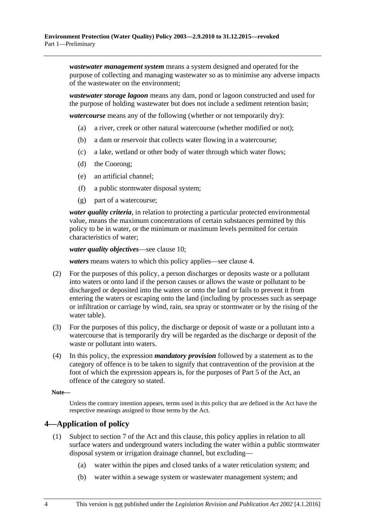*wastewater management system* means a system designed and operated for the purpose of collecting and managing wastewater so as to minimise any adverse impacts of the wastewater on the environment;

*wastewater storage lagoon* means any dam, pond or lagoon constructed and used for the purpose of holding wastewater but does not include a sediment retention basin;

*watercourse* means any of the following (whether or not temporarily dry):

- (a) a river, creek or other natural watercourse (whether modified or not);
- (b) a dam or reservoir that collects water flowing in a watercourse;
- (c) a lake, wetland or other body of water through which water flows;
- (d) the Coorong;
- (e) an artificial channel;
- (f) a public stormwater disposal system;
- (g) part of a watercourse;

*water quality criteria*, in relation to protecting a particular protected environmental value, means the maximum concentrations of certain substances permitted by this policy to be in water, or the minimum or maximum levels permitted for certain characteristics of water;

*water quality objectives*—see [clause](#page-6-1) 10;

*waters* means waters to which this policy applies—see [clause](#page-3-0) 4.

- (2) For the purposes of this policy, a person discharges or deposits waste or a pollutant into waters or onto land if the person causes or allows the waste or pollutant to be discharged or deposited into the waters or onto the land or fails to prevent it from entering the waters or escaping onto the land (including by processes such as seepage or infiltration or carriage by wind, rain, sea spray or stormwater or by the rising of the water table).
- (3) For the purposes of this policy, the discharge or deposit of waste or a pollutant into a watercourse that is temporarily dry will be regarded as the discharge or deposit of the waste or pollutant into waters.
- (4) In this policy, the expression *mandatory provision* followed by a statement as to the category of offence is to be taken to signify that contravention of the provision at the foot of which the expression appears is, for the purposes of Part 5 of the Act, an offence of the category so stated.

**Note—**

Unless the contrary intention appears, terms used in this policy that are defined in the Act have the respective meanings assigned to those terms by the Act.

#### <span id="page-3-0"></span>**4—Application of policy**

- (1) Subject to section 7 of the Act and this clause, this policy applies in relation to all surface waters and underground waters including the water within a public stormwater disposal system or irrigation drainage channel, but excluding—
	- (a) water within the pipes and closed tanks of a water reticulation system; and
	- (b) water within a sewage system or wastewater management system; and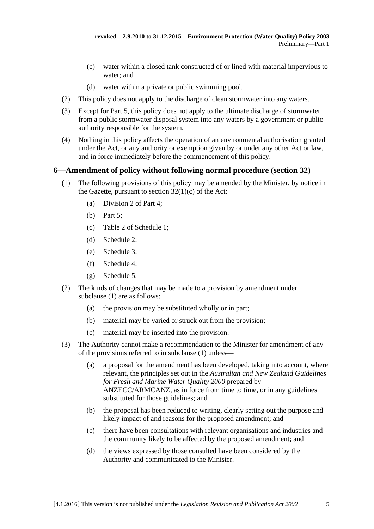- (c) water within a closed tank constructed of or lined with material impervious to water; and
- (d) water within a private or public swimming pool.
- (2) This policy does not apply to the discharge of clean stormwater into any waters.
- (3) Except for [Part 5,](#page-22-1) this policy does not apply to the ultimate discharge of stormwater from a public stormwater disposal system into any waters by a government or public authority responsible for the system.
- (4) Nothing in this policy affects the operation of an environmental authorisation granted under the Act, or any authority or exemption given by or under any other Act or law, and in force immediately before the commencement of this policy.

### <span id="page-4-1"></span><span id="page-4-0"></span>**6—Amendment of policy without following normal procedure (section 32)**

- (1) The following provisions of this policy may be amended by the Minister, by notice in the Gazette, pursuant to section  $32(1)(c)$  of the Act:
	- (a) [Division 2](#page-11-1) of [Part 4;](#page-6-2)
	- (b) [Part 5;](#page-22-1)
	- (c) Table 2 of [Schedule 1;](#page-23-4)
	- (d) [Schedule 2;](#page-25-0)
	- (e) [Schedule 3;](#page-33-1)
	- (f) [Schedule 4;](#page-33-0)
	- (g) [Schedule 5.](#page-34-0)
- (2) The kinds of changes that may be made to a provision by amendment under [subclause](#page-4-1) (1) are as follows:
	- (a) the provision may be substituted wholly or in part;
	- (b) material may be varied or struck out from the provision;
	- (c) material may be inserted into the provision.
- (3) The Authority cannot make a recommendation to the Minister for amendment of any of the provisions referred to in [subclause](#page-4-1) (1) unless—
	- (a) a proposal for the amendment has been developed, taking into account, where relevant, the principles set out in the *Australian and New Zealand Guidelines for Fresh and Marine Water Quality 2000* prepared by ANZECC/ARMCANZ, as in force from time to time, or in any guidelines substituted for those guidelines; and
	- (b) the proposal has been reduced to writing, clearly setting out the purpose and likely impact of and reasons for the proposed amendment; and
	- (c) there have been consultations with relevant organisations and industries and the community likely to be affected by the proposed amendment; and
	- (d) the views expressed by those consulted have been considered by the Authority and communicated to the Minister.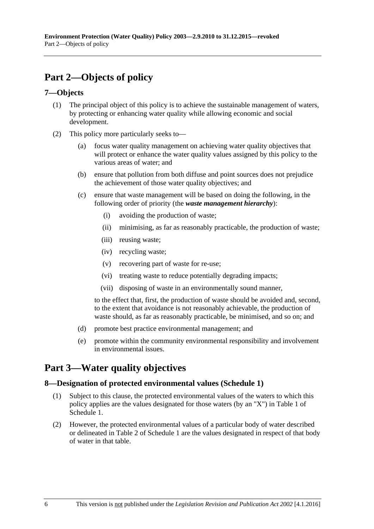# <span id="page-5-0"></span>**Part 2—Objects of policy**

### <span id="page-5-1"></span>**7—Objects**

- (1) The principal object of this policy is to achieve the sustainable management of waters, by protecting or enhancing water quality while allowing economic and social development.
- (2) This policy more particularly seeks to—
	- (a) focus water quality management on achieving water quality objectives that will protect or enhance the water quality values assigned by this policy to the various areas of water; and
	- (b) ensure that pollution from both diffuse and point sources does not prejudice the achievement of those water quality objectives; and
	- (c) ensure that waste management will be based on doing the following, in the following order of priority (the *waste management hierarchy*):
		- (i) avoiding the production of waste;
		- (ii) minimising, as far as reasonably practicable, the production of waste;
		- (iii) reusing waste;
		- (iv) recycling waste;
		- (v) recovering part of waste for re-use;
		- (vi) treating waste to reduce potentially degrading impacts;
		- (vii) disposing of waste in an environmentally sound manner,

to the effect that, first, the production of waste should be avoided and, second, to the extent that avoidance is not reasonably achievable, the production of waste should, as far as reasonably practicable, be minimised, and so on; and

- (d) promote best practice environmental management; and
- (e) promote within the community environmental responsibility and involvement in environmental issues.

# <span id="page-5-2"></span>**Part 3—Water quality objectives**

#### <span id="page-5-3"></span>**8—Designation of protected environmental values [\(Schedule 1\)](#page-23-4)**

- (1) Subject to this clause, the protected environmental values of the waters to which this policy applies are the values designated for those waters (by an "X") in Table 1 of [Schedule 1.](#page-23-4)
- (2) However, the protected environmental values of a particular body of water described or delineated in Table 2 of [Schedule 1](#page-23-4) are the values designated in respect of that body of water in that table.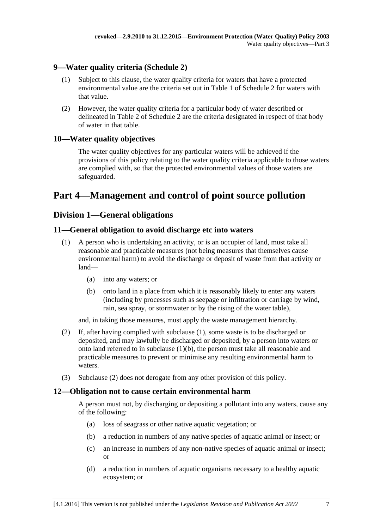#### <span id="page-6-0"></span>**9—Water quality criteria [\(Schedule 2\)](#page-25-0)**

- (1) Subject to this clause, the water quality criteria for waters that have a protected environmental value are the criteria set out in Table 1 of [Schedule 2](#page-25-0) for waters with that value.
- (2) However, the water quality criteria for a particular body of water described or delineated in Table 2 of [Schedule 2](#page-25-0) are the criteria designated in respect of that body of water in that table.

### <span id="page-6-1"></span>**10—Water quality objectives**

The water quality objectives for any particular waters will be achieved if the provisions of this policy relating to the water quality criteria applicable to those waters are complied with, so that the protected environmental values of those waters are safeguarded.

# <span id="page-6-2"></span>**Part 4—Management and control of point source pollution**

### <span id="page-6-3"></span>**Division 1—General obligations**

#### <span id="page-6-6"></span><span id="page-6-4"></span>**11—General obligation to avoid discharge etc into waters**

- (1) A person who is undertaking an activity, or is an occupier of land, must take all reasonable and practicable measures (not being measures that themselves cause environmental harm) to avoid the discharge or deposit of waste from that activity or land—
	- (a) into any waters; or
	- (b) onto land in a place from which it is reasonably likely to enter any waters (including by processes such as seepage or infiltration or carriage by wind, rain, sea spray, or stormwater or by the rising of the water table),

<span id="page-6-7"></span>and, in taking those measures, must apply the waste management hierarchy.

- <span id="page-6-8"></span>(2) If, after having complied with [subclause](#page-6-6) (1), some waste is to be discharged or deposited, and may lawfully be discharged or deposited, by a person into waters or onto land referred to in [subclause](#page-6-7) (1)(b), the person must take all reasonable and practicable measures to prevent or minimise any resulting environmental harm to waters.
- (3) [Subclause](#page-6-8) (2) does not derogate from any other provision of this policy.

#### <span id="page-6-5"></span>**12—Obligation not to cause certain environmental harm**

A person must not, by discharging or depositing a pollutant into any waters, cause any of the following:

- (a) loss of seagrass or other native aquatic vegetation; or
- (b) a reduction in numbers of any native species of aquatic animal or insect; or
- (c) an increase in numbers of any non-native species of aquatic animal or insect; or
- (d) a reduction in numbers of aquatic organisms necessary to a healthy aquatic ecosystem; or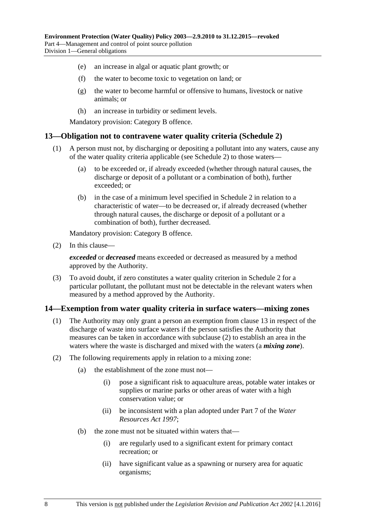- <span id="page-7-5"></span><span id="page-7-4"></span>(e) an increase in algal or aquatic plant growth; or
- (f) the water to become toxic to vegetation on land; or
- (g) the water to become harmful or offensive to humans, livestock or native animals; or
- (h) an increase in turbidity or sediment levels.

#### <span id="page-7-0"></span>**13—Obligation not to contravene water quality criteria [\(Schedule 2\)](#page-25-0)**

- (1) A person must not, by discharging or depositing a pollutant into any waters, cause any of the water quality criteria applicable (see [Schedule 2\)](#page-25-0) to those waters—
	- (a) to be exceeded or, if already exceeded (whether through natural causes, the discharge or deposit of a pollutant or a combination of both), further exceeded; or
	- (b) in the case of a minimum level specified in [Schedule 2](#page-25-0) in relation to a characteristic of water—to be decreased or, if already decreased (whether through natural causes, the discharge or deposit of a pollutant or a combination of both), further decreased.

Mandatory provision: Category B offence.

(2) In this clause—

*exceeded* or *decreased* means exceeded or decreased as measured by a method approved by the Authority.

(3) To avoid doubt, if zero constitutes a water quality criterion in [Schedule 2](#page-25-0) for a particular pollutant, the pollutant must not be detectable in the relevant waters when measured by a method approved by the Authority.

#### <span id="page-7-3"></span><span id="page-7-1"></span>**14—Exemption from water quality criteria in surface waters—mixing zones**

- (1) The Authority may only grant a person an exemption from [clause](#page-7-0) 13 in respect of the discharge of waste into surface waters if the person satisfies the Authority that measures can be taken in accordance with [subclause](#page-7-2) (2) to establish an area in the waters where the waste is discharged and mixed with the waters (a *mixing zone*).
- <span id="page-7-2"></span>(2) The following requirements apply in relation to a mixing zone:
	- (a) the establishment of the zone must not—
		- (i) pose a significant risk to aquaculture areas, potable water intakes or supplies or marine parks or other areas of water with a high conservation value; or
		- (ii) be inconsistent with a plan adopted under Part 7 of the *[Water](http://www.legislation.sa.gov.au/index.aspx?action=legref&type=act&legtitle=Water%20Resources%20Act%201997)  [Resources Act](http://www.legislation.sa.gov.au/index.aspx?action=legref&type=act&legtitle=Water%20Resources%20Act%201997) 1997*;
	- (b) the zone must not be situated within waters that—
		- (i) are regularly used to a significant extent for primary contact recreation; or
		- (ii) have significant value as a spawning or nursery area for aquatic organisms;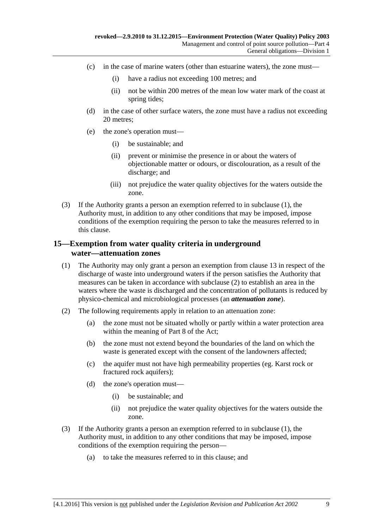- (c) in the case of marine waters (other than estuarine waters), the zone must—
	- (i) have a radius not exceeding 100 metres; and
	- (ii) not be within 200 metres of the mean low water mark of the coast at spring tides;
- (d) in the case of other surface waters, the zone must have a radius not exceeding 20 metres;
- (e) the zone's operation must—
	- (i) be sustainable; and
	- (ii) prevent or minimise the presence in or about the waters of objectionable matter or odours, or discolouration, as a result of the discharge; and
	- (iii) not prejudice the water quality objectives for the waters outside the zone.
- (3) If the Authority grants a person an exemption referred to in [subclause](#page-7-3) (1), the Authority must, in addition to any other conditions that may be imposed, impose conditions of the exemption requiring the person to take the measures referred to in this clause.

#### <span id="page-8-0"></span>**15—Exemption from water quality criteria in underground water—attenuation zones**

- <span id="page-8-2"></span>(1) The Authority may only grant a person an exemption from [clause](#page-7-0) 13 in respect of the discharge of waste into underground waters if the person satisfies the Authority that measures can be taken in accordance with [subclause](#page-8-1) (2) to establish an area in the waters where the waste is discharged and the concentration of pollutants is reduced by physico-chemical and microbiological processes (an *attenuation zone*).
- <span id="page-8-1"></span>(2) The following requirements apply in relation to an attenuation zone:
	- (a) the zone must not be situated wholly or partly within a water protection area within the meaning of Part 8 of the Act;
	- (b) the zone must not extend beyond the boundaries of the land on which the waste is generated except with the consent of the landowners affected;
	- (c) the aquifer must not have high permeability properties (eg. Karst rock or fractured rock aquifers);
	- (d) the zone's operation must—
		- (i) be sustainable; and
		- (ii) not prejudice the water quality objectives for the waters outside the zone.
- (3) If the Authority grants a person an exemption referred to in [subclause](#page-8-2) (1), the Authority must, in addition to any other conditions that may be imposed, impose conditions of the exemption requiring the person—
	- (a) to take the measures referred to in this clause; and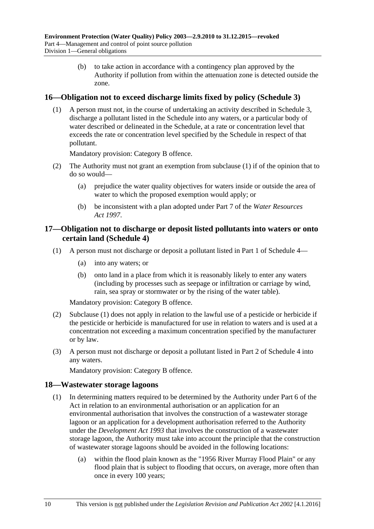(b) to take action in accordance with a contingency plan approved by the Authority if pollution from within the attenuation zone is detected outside the zone.

#### <span id="page-9-3"></span><span id="page-9-0"></span>**16—Obligation not to exceed discharge limits fixed by policy [\(Schedule 3\)](#page-33-1)**

(1) A person must not, in the course of undertaking an activity described in [Schedule 3,](#page-33-1) discharge a pollutant listed in the Schedule into any waters, or a particular body of water described or delineated in the Schedule, at a rate or concentration level that exceeds the rate or concentration level specified by the Schedule in respect of that pollutant.

Mandatory provision: Category B offence.

- (2) The Authority must not grant an exemption from [subclause](#page-9-3) (1) if of the opinion that to do so would—
	- (a) prejudice the water quality objectives for waters inside or outside the area of water to which the proposed exemption would apply; or
	- (b) be inconsistent with a plan adopted under Part 7 of the *[Water Resources](http://www.legislation.sa.gov.au/index.aspx?action=legref&type=act&legtitle=Water%20Resources%20Act%201997)  Act [1997](http://www.legislation.sa.gov.au/index.aspx?action=legref&type=act&legtitle=Water%20Resources%20Act%201997)*.

#### <span id="page-9-1"></span>**17—Obligation not to discharge or deposit listed pollutants into waters or onto certain land [\(Schedule 4\)](#page-33-0)**

- <span id="page-9-4"></span>(1) A person must not discharge or deposit a pollutant listed in Part 1 of [Schedule 4—](#page-33-0)
	- (a) into any waters; or
	- (b) onto land in a place from which it is reasonably likely to enter any waters (including by processes such as seepage or infiltration or carriage by wind, rain, sea spray or stormwater or by the rising of the water table).

Mandatory provision: Category B offence.

- (2) [Subclause](#page-9-4) (1) does not apply in relation to the lawful use of a pesticide or herbicide if the pesticide or herbicide is manufactured for use in relation to waters and is used at a concentration not exceeding a maximum concentration specified by the manufacturer or by law.
- (3) A person must not discharge or deposit a pollutant listed in Part 2 of [Schedule 4](#page-33-0) into any waters.

Mandatory provision: Category B offence.

#### <span id="page-9-2"></span>**18—Wastewater storage lagoons**

- (1) In determining matters required to be determined by the Authority under Part 6 of the Act in relation to an environmental authorisation or an application for an environmental authorisation that involves the construction of a wastewater storage lagoon or an application for a development authorisation referred to the Authority under the *[Development Act](http://www.legislation.sa.gov.au/index.aspx?action=legref&type=act&legtitle=Development%20Act%201993) 1993* that involves the construction of a wastewater storage lagoon, the Authority must take into account the principle that the construction of wastewater storage lagoons should be avoided in the following locations:
	- (a) within the flood plain known as the "1956 River Murray Flood Plain" or any flood plain that is subject to flooding that occurs, on average, more often than once in every 100 years;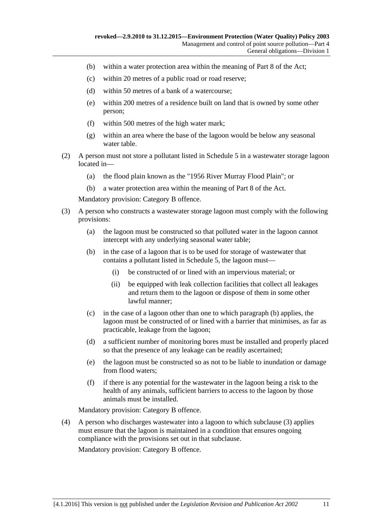- (b) within a water protection area within the meaning of Part 8 of the Act;
- (c) within 20 metres of a public road or road reserve;
- (d) within 50 metres of a bank of a watercourse;
- (e) within 200 metres of a residence built on land that is owned by some other person;
- (f) within 500 metres of the high water mark;
- (g) within an area where the base of the lagoon would be below any seasonal water table.
- (2) A person must not store a pollutant listed in [Schedule 5](#page-34-0) in a wastewater storage lagoon located in—
	- (a) the flood plain known as the "1956 River Murray Flood Plain"; or
	- (b) a water protection area within the meaning of Part 8 of the Act.

- <span id="page-10-1"></span><span id="page-10-0"></span>(3) A person who constructs a wastewater storage lagoon must comply with the following provisions:
	- (a) the lagoon must be constructed so that polluted water in the lagoon cannot intercept with any underlying seasonal water table;
	- (b) in the case of a lagoon that is to be used for storage of wastewater that contains a pollutant listed in [Schedule 5,](#page-34-0) the lagoon must—
		- (i) be constructed of or lined with an impervious material; or
		- (ii) be equipped with leak collection facilities that collect all leakages and return them to the lagoon or dispose of them in some other lawful manner;
	- (c) in the case of a lagoon other than one to which [paragraph](#page-10-0) (b) applies, the lagoon must be constructed of or lined with a barrier that minimises, as far as practicable, leakage from the lagoon;
	- (d) a sufficient number of monitoring bores must be installed and properly placed so that the presence of any leakage can be readily ascertained;
	- (e) the lagoon must be constructed so as not to be liable to inundation or damage from flood waters;
	- (f) if there is any potential for the wastewater in the lagoon being a risk to the health of any animals, sufficient barriers to access to the lagoon by those animals must be installed.

Mandatory provision: Category B offence.

(4) A person who discharges wastewater into a lagoon to which [subclause](#page-10-1) (3) applies must ensure that the lagoon is maintained in a condition that ensures ongoing compliance with the provisions set out in that subclause.

Mandatory provision: Category B offence.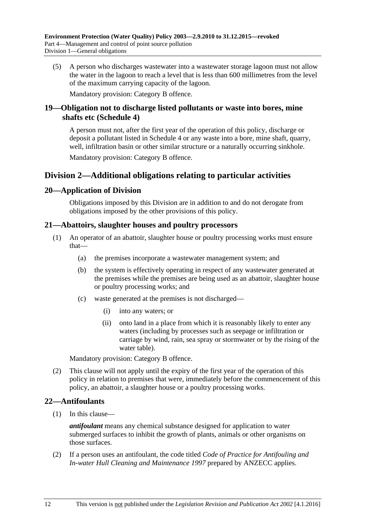(5) A person who discharges wastewater into a wastewater storage lagoon must not allow the water in the lagoon to reach a level that is less than 600 millimetres from the level of the maximum carrying capacity of the lagoon.

Mandatory provision: Category B offence.

#### <span id="page-11-0"></span>**19—Obligation not to discharge listed pollutants or waste into bores, mine shafts etc [\(Schedule](#page-33-0) 4)**

A person must not, after the first year of the operation of this policy, discharge or deposit a pollutant listed in [Schedule 4](#page-33-0) or any waste into a bore, mine shaft, quarry, well, infiltration basin or other similar structure or a naturally occurring sinkhole.

Mandatory provision: Category B offence.

### <span id="page-11-1"></span>**Division 2—Additional obligations relating to particular activities**

#### <span id="page-11-2"></span>**20—Application of Division**

Obligations imposed by this Division are in addition to and do not derogate from obligations imposed by the other provisions of this policy.

#### <span id="page-11-3"></span>**21—Abattoirs, slaughter houses and poultry processors**

- (1) An operator of an abattoir, slaughter house or poultry processing works must ensure that—
	- (a) the premises incorporate a wastewater management system; and
	- (b) the system is effectively operating in respect of any wastewater generated at the premises while the premises are being used as an abattoir, slaughter house or poultry processing works; and
	- (c) waste generated at the premises is not discharged—
		- (i) into any waters; or
		- (ii) onto land in a place from which it is reasonably likely to enter any waters (including by processes such as seepage or infiltration or carriage by wind, rain, sea spray or stormwater or by the rising of the water table).

Mandatory provision: Category B offence.

(2) This clause will not apply until the expiry of the first year of the operation of this policy in relation to premises that were, immediately before the commencement of this policy, an abattoir, a slaughter house or a poultry processing works.

#### <span id="page-11-4"></span>**22—Antifoulants**

(1) In this clause—

*antifoulant* means any chemical substance designed for application to water submerged surfaces to inhibit the growth of plants, animals or other organisms on those surfaces.

<span id="page-11-5"></span>(2) If a person uses an antifoulant, the code titled *Code of Practice for Antifouling and In-water Hull Cleaning and Maintenance 1997* prepared by ANZECC applies.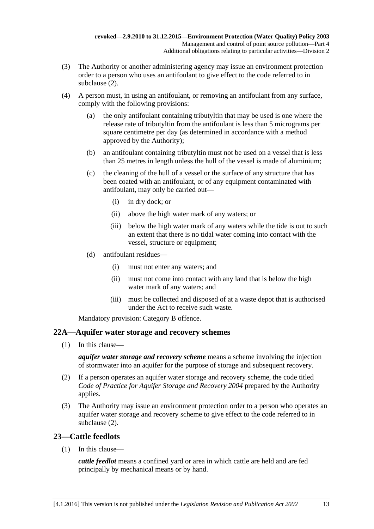- (3) The Authority or another administering agency may issue an environment protection order to a person who uses an antifoulant to give effect to the code referred to in [subclause](#page-11-5) (2).
- (4) A person must, in using an antifoulant, or removing an antifoulant from any surface, comply with the following provisions:
	- (a) the only antifoulant containing tributyltin that may be used is one where the release rate of tributyltin from the antifoulant is less than 5 micrograms per square centimetre per day (as determined in accordance with a method approved by the Authority);
	- (b) an antifoulant containing tributyltin must not be used on a vessel that is less than 25 metres in length unless the hull of the vessel is made of aluminium;
	- (c) the cleaning of the hull of a vessel or the surface of any structure that has been coated with an antifoulant, or of any equipment contaminated with antifoulant, may only be carried out—
		- (i) in dry dock; or
		- (ii) above the high water mark of any waters; or
		- (iii) below the high water mark of any waters while the tide is out to such an extent that there is no tidal water coming into contact with the vessel, structure or equipment;
	- (d) antifoulant residues—
		- (i) must not enter any waters; and
		- (ii) must not come into contact with any land that is below the high water mark of any waters; and
		- (iii) must be collected and disposed of at a waste depot that is authorised under the Act to receive such waste.

#### <span id="page-12-0"></span>**22A—Aquifer water storage and recovery schemes**

(1) In this clause—

*aquifer water storage and recovery scheme* means a scheme involving the injection of stormwater into an aquifer for the purpose of storage and subsequent recovery.

- <span id="page-12-2"></span>(2) If a person operates an aquifer water storage and recovery scheme, the code titled *Code of Practice for Aquifer Storage and Recovery 2004* prepared by the Authority applies.
- (3) The Authority may issue an environment protection order to a person who operates an aquifer water storage and recovery scheme to give effect to the code referred to in [subclause](#page-12-2) (2).

### <span id="page-12-1"></span>**23—Cattle feedlots**

(1) In this clause—

*cattle feedlot* means a confined yard or area in which cattle are held and are fed principally by mechanical means or by hand.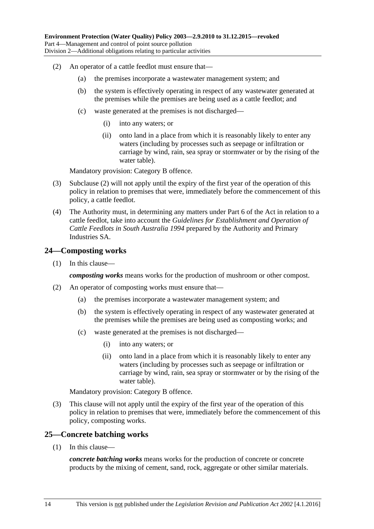- <span id="page-13-2"></span>(2) An operator of a cattle feedlot must ensure that—
	- (a) the premises incorporate a wastewater management system; and
	- (b) the system is effectively operating in respect of any wastewater generated at the premises while the premises are being used as a cattle feedlot; and
	- (c) waste generated at the premises is not discharged—
		- (i) into any waters; or
		- (ii) onto land in a place from which it is reasonably likely to enter any waters (including by processes such as seepage or infiltration or carriage by wind, rain, sea spray or stormwater or by the rising of the water table).

- (3) [Subclause](#page-13-2) (2) will not apply until the expiry of the first year of the operation of this policy in relation to premises that were, immediately before the commencement of this policy, a cattle feedlot.
- (4) The Authority must, in determining any matters under Part 6 of the Act in relation to a cattle feedlot, take into account the *Guidelines for Establishment and Operation of Cattle Feedlots in South Australia 1994* prepared by the Authority and Primary Industries SA.

#### <span id="page-13-0"></span>**24—Composting works**

(1) In this clause—

*composting works* means works for the production of mushroom or other compost.

- (2) An operator of composting works must ensure that—
	- (a) the premises incorporate a wastewater management system; and
	- (b) the system is effectively operating in respect of any wastewater generated at the premises while the premises are being used as composting works; and
	- (c) waste generated at the premises is not discharged—
		- (i) into any waters; or
		- (ii) onto land in a place from which it is reasonably likely to enter any waters (including by processes such as seepage or infiltration or carriage by wind, rain, sea spray or stormwater or by the rising of the water table).

Mandatory provision: Category B offence.

(3) This clause will not apply until the expiry of the first year of the operation of this policy in relation to premises that were, immediately before the commencement of this policy, composting works.

#### <span id="page-13-1"></span>**25—Concrete batching works**

(1) In this clause—

*concrete batching works* means works for the production of concrete or concrete products by the mixing of cement, sand, rock, aggregate or other similar materials.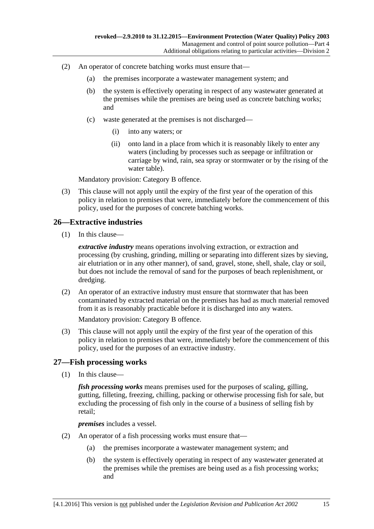- (2) An operator of concrete batching works must ensure that—
	- (a) the premises incorporate a wastewater management system; and
	- (b) the system is effectively operating in respect of any wastewater generated at the premises while the premises are being used as concrete batching works; and
	- (c) waste generated at the premises is not discharged—
		- (i) into any waters; or
		- (ii) onto land in a place from which it is reasonably likely to enter any waters (including by processes such as seepage or infiltration or carriage by wind, rain, sea spray or stormwater or by the rising of the water table).

(3) This clause will not apply until the expiry of the first year of the operation of this policy in relation to premises that were, immediately before the commencement of this policy, used for the purposes of concrete batching works.

#### <span id="page-14-0"></span>**26—Extractive industries**

(1) In this clause—

*extractive industry* means operations involving extraction, or extraction and processing (by crushing, grinding, milling or separating into different sizes by sieving, air elutriation or in any other manner), of sand, gravel, stone, shell, shale, clay or soil, but does not include the removal of sand for the purposes of beach replenishment, or dredging.

(2) An operator of an extractive industry must ensure that stormwater that has been contaminated by extracted material on the premises has had as much material removed from it as is reasonably practicable before it is discharged into any waters.

Mandatory provision: Category B offence.

(3) This clause will not apply until the expiry of the first year of the operation of this policy in relation to premises that were, immediately before the commencement of this policy, used for the purposes of an extractive industry.

#### <span id="page-14-1"></span>**27—Fish processing works**

(1) In this clause—

*fish processing works* means premises used for the purposes of scaling, gilling, gutting, filleting, freezing, chilling, packing or otherwise processing fish for sale, but excluding the processing of fish only in the course of a business of selling fish by retail;

*premises* includes a vessel.

- (2) An operator of a fish processing works must ensure that—
	- (a) the premises incorporate a wastewater management system; and
	- (b) the system is effectively operating in respect of any wastewater generated at the premises while the premises are being used as a fish processing works; and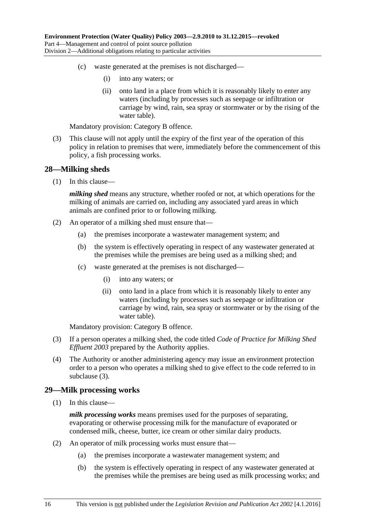- (c) waste generated at the premises is not discharged—
	- (i) into any waters; or
	- (ii) onto land in a place from which it is reasonably likely to enter any waters (including by processes such as seepage or infiltration or carriage by wind, rain, sea spray or stormwater or by the rising of the water table).

(3) This clause will not apply until the expiry of the first year of the operation of this policy in relation to premises that were, immediately before the commencement of this policy, a fish processing works.

#### <span id="page-15-0"></span>**28—Milking sheds**

(1) In this clause—

*milking shed* means any structure, whether roofed or not, at which operations for the milking of animals are carried on, including any associated yard areas in which animals are confined prior to or following milking.

- (2) An operator of a milking shed must ensure that—
	- (a) the premises incorporate a wastewater management system; and
	- (b) the system is effectively operating in respect of any wastewater generated at the premises while the premises are being used as a milking shed; and
	- (c) waste generated at the premises is not discharged—
		- (i) into any waters; or
		- (ii) onto land in a place from which it is reasonably likely to enter any waters (including by processes such as seepage or infiltration or carriage by wind, rain, sea spray or stormwater or by the rising of the water table).

Mandatory provision: Category B offence.

- <span id="page-15-2"></span>(3) If a person operates a milking shed, the code titled *Code of Practice for Milking Shed Effluent 2003* prepared by the Authority applies.
- (4) The Authority or another administering agency may issue an environment protection order to a person who operates a milking shed to give effect to the code referred to in [subclause](#page-15-2) (3).

#### <span id="page-15-1"></span>**29—Milk processing works**

(1) In this clause—

*milk processing works* means premises used for the purposes of separating, evaporating or otherwise processing milk for the manufacture of evaporated or condensed milk, cheese, butter, ice cream or other similar dairy products.

- (2) An operator of milk processing works must ensure that—
	- (a) the premises incorporate a wastewater management system; and
	- (b) the system is effectively operating in respect of any wastewater generated at the premises while the premises are being used as milk processing works; and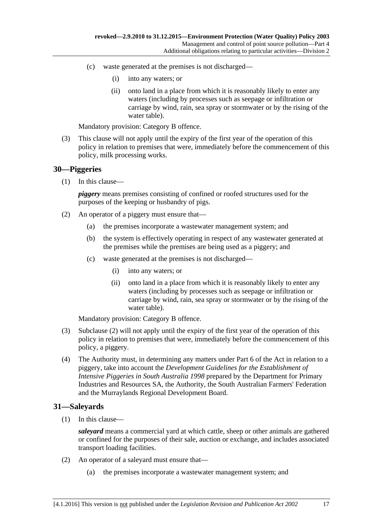- (c) waste generated at the premises is not discharged—
	- (i) into any waters; or
	- (ii) onto land in a place from which it is reasonably likely to enter any waters (including by processes such as seepage or infiltration or carriage by wind, rain, sea spray or stormwater or by the rising of the water table).

(3) This clause will not apply until the expiry of the first year of the operation of this policy in relation to premises that were, immediately before the commencement of this policy, milk processing works.

#### <span id="page-16-0"></span>**30—Piggeries**

(1) In this clause—

*piggery* means premises consisting of confined or roofed structures used for the purposes of the keeping or husbandry of pigs.

- <span id="page-16-2"></span>(2) An operator of a piggery must ensure that—
	- (a) the premises incorporate a wastewater management system; and
	- (b) the system is effectively operating in respect of any wastewater generated at the premises while the premises are being used as a piggery; and
	- (c) waste generated at the premises is not discharged—
		- (i) into any waters; or
		- (ii) onto land in a place from which it is reasonably likely to enter any waters (including by processes such as seepage or infiltration or carriage by wind, rain, sea spray or stormwater or by the rising of the water table).

Mandatory provision: Category B offence.

- (3) [Subclause](#page-16-2) (2) will not apply until the expiry of the first year of the operation of this policy in relation to premises that were, immediately before the commencement of this policy, a piggery.
- (4) The Authority must, in determining any matters under Part 6 of the Act in relation to a piggery, take into account the *Development Guidelines for the Establishment of Intensive Piggeries in South Australia 1998* prepared by the Department for Primary Industries and Resources SA, the Authority, the South Australian Farmers' Federation and the Murraylands Regional Development Board.

#### <span id="page-16-1"></span>**31—Saleyards**

(1) In this clause—

*saleyard* means a commercial yard at which cattle, sheep or other animals are gathered or confined for the purposes of their sale, auction or exchange, and includes associated transport loading facilities.

- (2) An operator of a saleyard must ensure that—
	- (a) the premises incorporate a wastewater management system; and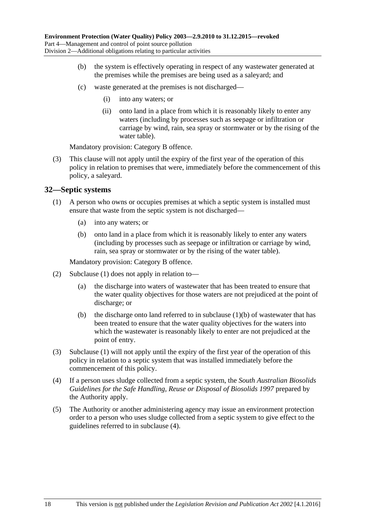- (b) the system is effectively operating in respect of any wastewater generated at the premises while the premises are being used as a saleyard; and
- (c) waste generated at the premises is not discharged—
	- (i) into any waters; or
	- (ii) onto land in a place from which it is reasonably likely to enter any waters (including by processes such as seepage or infiltration or carriage by wind, rain, sea spray or stormwater or by the rising of the water table).

(3) This clause will not apply until the expiry of the first year of the operation of this policy in relation to premises that were, immediately before the commencement of this policy, a saleyard.

#### <span id="page-17-1"></span><span id="page-17-0"></span>**32—Septic systems**

- <span id="page-17-2"></span>(1) A person who owns or occupies premises at which a septic system is installed must ensure that waste from the septic system is not discharged—
	- (a) into any waters; or
	- (b) onto land in a place from which it is reasonably likely to enter any waters (including by processes such as seepage or infiltration or carriage by wind, rain, sea spray or stormwater or by the rising of the water table).

Mandatory provision: Category B offence.

- (2) [Subclause](#page-17-1) (1) does not apply in relation to—
	- (a) the discharge into waters of wastewater that has been treated to ensure that the water quality objectives for those waters are not prejudiced at the point of discharge; or
	- (b) the discharge onto land referred to in [subclause](#page-17-2)  $(1)(b)$  of wastewater that has been treated to ensure that the water quality objectives for the waters into which the wastewater is reasonably likely to enter are not prejudiced at the point of entry.
- (3) [Subclause](#page-17-1) (1) will not apply until the expiry of the first year of the operation of this policy in relation to a septic system that was installed immediately before the commencement of this policy.
- <span id="page-17-3"></span>(4) If a person uses sludge collected from a septic system, the *South Australian Biosolids Guidelines for the Safe Handling, Reuse or Disposal of Biosolids 1997* prepared by the Authority apply.
- (5) The Authority or another administering agency may issue an environment protection order to a person who uses sludge collected from a septic system to give effect to the guidelines referred to in [subclause](#page-17-3) (4).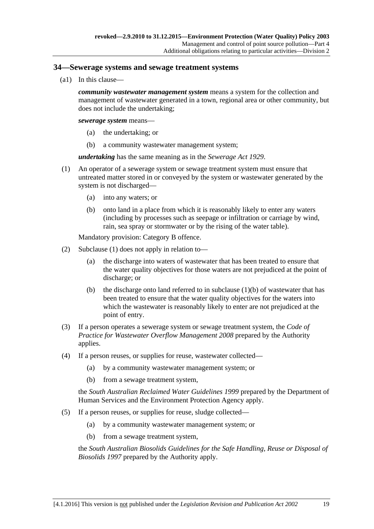#### <span id="page-18-0"></span>**34—Sewerage systems and sewage treatment systems**

(a1) In this clause—

*community wastewater management system* means a system for the collection and management of wastewater generated in a town, regional area or other community, but does not include the undertaking;

*sewerage system* means—

- (a) the undertaking; or
- (b) a community wastewater management system;

*undertaking* has the same meaning as in the *[Sewerage Act](http://www.legislation.sa.gov.au/index.aspx?action=legref&type=act&legtitle=Sewerage%20Act%201929) 1929*.

- <span id="page-18-2"></span><span id="page-18-1"></span>(1) An operator of a sewerage system or sewage treatment system must ensure that untreated matter stored in or conveyed by the system or wastewater generated by the system is not discharged—
	- (a) into any waters; or
	- (b) onto land in a place from which it is reasonably likely to enter any waters (including by processes such as seepage or infiltration or carriage by wind, rain, sea spray or stormwater or by the rising of the water table).

Mandatory provision: Category B offence.

- (2) [Subclause](#page-18-1) (1) does not apply in relation to—
	- (a) the discharge into waters of wastewater that has been treated to ensure that the water quality objectives for those waters are not prejudiced at the point of discharge; or
	- (b) the discharge onto land referred to in [subclause](#page-18-2)  $(1)(b)$  of wastewater that has been treated to ensure that the water quality objectives for the waters into which the wastewater is reasonably likely to enter are not prejudiced at the point of entry.
- <span id="page-18-3"></span>(3) If a person operates a sewerage system or sewage treatment system, the *Code of Practice for Wastewater Overflow Management 2008* prepared by the Authority applies.
- <span id="page-18-4"></span>(4) If a person reuses, or supplies for reuse, wastewater collected—
	- (a) by a community wastewater management system; or
	- (b) from a sewage treatment system,

the *South Australian Reclaimed Water Guidelines 1999* prepared by the Department of Human Services and the Environment Protection Agency apply.

- <span id="page-18-5"></span>(5) If a person reuses, or supplies for reuse, sludge collected—
	- (a) by a community wastewater management system; or
	- (b) from a sewage treatment system,

the *South Australian Biosolids Guidelines for the Safe Handling, Reuse or Disposal of Biosolids 1997* prepared by the Authority apply.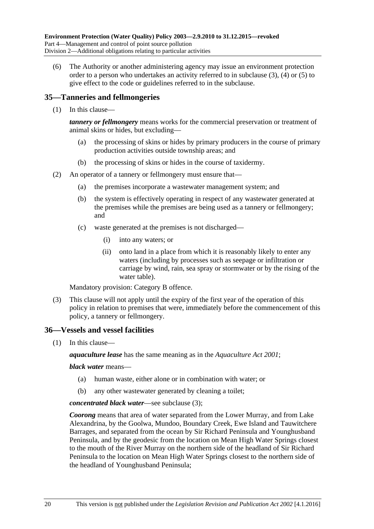(6) The Authority or another administering agency may issue an environment protection order to a person who undertakes an activity referred to in [subclause](#page-18-3)  $(3)$ ,  $(4)$  or  $(5)$  to give effect to the code or guidelines referred to in the subclause.

#### <span id="page-19-0"></span>**35—Tanneries and fellmongeries**

(1) In this clause—

*tannery or fellmongery* means works for the commercial preservation or treatment of animal skins or hides, but excluding—

- (a) the processing of skins or hides by primary producers in the course of primary production activities outside township areas; and
- (b) the processing of skins or hides in the course of taxidermy.
- (2) An operator of a tannery or fellmongery must ensure that—
	- (a) the premises incorporate a wastewater management system; and
	- (b) the system is effectively operating in respect of any wastewater generated at the premises while the premises are being used as a tannery or fellmongery; and
	- (c) waste generated at the premises is not discharged—
		- (i) into any waters; or
		- (ii) onto land in a place from which it is reasonably likely to enter any waters (including by processes such as seepage or infiltration or carriage by wind, rain, sea spray or stormwater or by the rising of the water table).

Mandatory provision: Category B offence.

(3) This clause will not apply until the expiry of the first year of the operation of this policy in relation to premises that were, immediately before the commencement of this policy, a tannery or fellmongery.

#### <span id="page-19-1"></span>**36—Vessels and vessel facilities**

(1) In this clause—

*aquaculture lease* has the same meaning as in the *[Aquaculture Act](http://www.legislation.sa.gov.au/index.aspx?action=legref&type=act&legtitle=Aquaculture%20Act%202001) 2001*;

#### *black water* means—

- (a) human waste, either alone or in combination with water; or
- (b) any other wastewater generated by cleaning a toilet;

#### *concentrated black water*—see [subclause](#page-20-0) (3);

*Coorong* means that area of water separated from the Lower Murray, and from Lake Alexandrina, by the Goolwa, Mundoo, Boundary Creek, Ewe Island and Tauwitchere Barrages, and separated from the ocean by Sir Richard Peninsula and Younghusband Peninsula, and by the geodesic from the location on Mean High Water Springs closest to the mouth of the River Murray on the northern side of the headland of Sir Richard Peninsula to the location on Mean High Water Springs closest to the northern side of the headland of Younghusband Peninsula;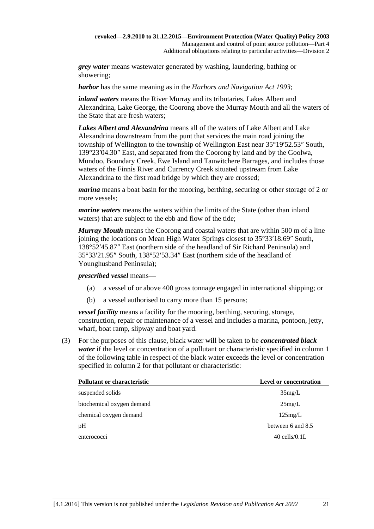*grey water* means wastewater generated by washing, laundering, bathing or showering;

*harbor* has the same meaning as in the *[Harbors and Navigation Act](http://www.legislation.sa.gov.au/index.aspx?action=legref&type=act&legtitle=Harbors%20and%20Navigation%20Act%201993) 1993*;

*inland waters* means the River Murray and its tributaries, Lakes Albert and Alexandrina, Lake George, the Coorong above the Murray Mouth and all the waters of the State that are fresh waters;

*Lakes Albert and Alexandrina* means all of the waters of Lake Albert and Lake Alexandrina downstream from the punt that services the main road joining the township of Wellington to the township of Wellington East near 35°19′52.53″ South, 139°23′04.30″ East, and separated from the Coorong by land and by the Goolwa, Mundoo, Boundary Creek, Ewe Island and Tauwitchere Barrages, and includes those waters of the Finnis River and Currency Creek situated upstream from Lake Alexandrina to the first road bridge by which they are crossed;

*marina* means a boat basin for the mooring, berthing, securing or other storage of 2 or more vessels;

*marine waters* means the waters within the limits of the State (other than inland waters) that are subject to the ebb and flow of the tide;

*Murray Mouth* means the Coorong and coastal waters that are within 500 m of a line joining the locations on Mean High Water Springs closest to 35°33′18.69″ South, 138°52′45.87″ East (northern side of the headland of Sir Richard Peninsula) and 35°33′21.95″ South, 138°52′53.34″ East (northern side of the headland of Younghusband Peninsula);

#### *prescribed vessel* means—

- (a) a vessel of or above 400 gross tonnage engaged in international shipping; or
- (b) a vessel authorised to carry more than 15 persons;

*vessel facility* means a facility for the mooring, berthing, securing, storage, construction, repair or maintenance of a vessel and includes a marina, pontoon, jetty, wharf, boat ramp, slipway and boat yard.

<span id="page-20-0"></span>(3) For the purposes of this clause, black water will be taken to be *concentrated black water* if the level or concentration of a pollutant or characteristic specified in column 1 of the following table in respect of the black water exceeds the level or concentration specified in column 2 for that pollutant or characteristic:

| Pollutant or characteristic | <b>Level or concentration</b> |
|-----------------------------|-------------------------------|
| suspended solids            | 35mg/L                        |
| biochemical oxygen demand   | 25mg/L                        |
| chemical oxygen demand      | 125mg/L                       |
| pH                          | between 6 and 8.5             |
| enterococci                 | $40$ cells/ $0.1L$            |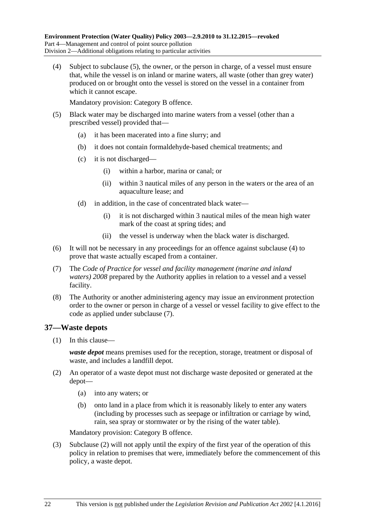<span id="page-21-2"></span>(4) Subject to [subclause](#page-21-1) (5), the owner, or the person in charge, of a vessel must ensure that, while the vessel is on inland or marine waters, all waste (other than grey water) produced on or brought onto the vessel is stored on the vessel in a container from which it cannot escape.

Mandatory provision: Category B offence.

- <span id="page-21-1"></span>(5) Black water may be discharged into marine waters from a vessel (other than a prescribed vessel) provided that—
	- (a) it has been macerated into a fine slurry; and
	- (b) it does not contain formaldehyde-based chemical treatments; and
	- (c) it is not discharged—
		- (i) within a harbor, marina or canal; or
		- (ii) within 3 nautical miles of any person in the waters or the area of an aquaculture lease; and
	- (d) in addition, in the case of concentrated black water—
		- (i) it is not discharged within 3 nautical miles of the mean high water mark of the coast at spring tides; and
		- (ii) the vessel is underway when the black water is discharged.
- (6) It will not be necessary in any proceedings for an offence against [subclause](#page-21-2) (4) to prove that waste actually escaped from a container.
- <span id="page-21-3"></span>(7) The *Code of Practice for vessel and facility management (marine and inland waters) 2008* prepared by the Authority applies in relation to a vessel and a vessel facility.
- (8) The Authority or another administering agency may issue an environment protection order to the owner or person in charge of a vessel or vessel facility to give effect to the code as applied under [subclause](#page-21-3) (7).

#### <span id="page-21-0"></span>**37—Waste depots**

(1) In this clause—

*waste depot* means premises used for the reception, storage, treatment or disposal of waste, and includes a landfill depot.

- <span id="page-21-4"></span>(2) An operator of a waste depot must not discharge waste deposited or generated at the depot—
	- (a) into any waters; or
	- (b) onto land in a place from which it is reasonably likely to enter any waters (including by processes such as seepage or infiltration or carriage by wind, rain, sea spray or stormwater or by the rising of the water table).

Mandatory provision: Category B offence.

(3) [Subclause](#page-21-4) (2) will not apply until the expiry of the first year of the operation of this policy in relation to premises that were, immediately before the commencement of this policy, a waste depot.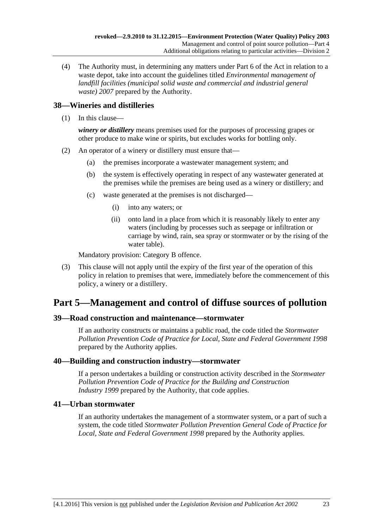(4) The Authority must, in determining any matters under Part 6 of the Act in relation to a waste depot, take into account the guidelines titled *Environmental management of landfill facilities (municipal solid waste and commercial and industrial general waste) 2007* prepared by the Authority.

### <span id="page-22-0"></span>**38—Wineries and distilleries**

(1) In this clause—

*winery or distillery* means premises used for the purposes of processing grapes or other produce to make wine or spirits, but excludes works for bottling only.

- (2) An operator of a winery or distillery must ensure that—
	- (a) the premises incorporate a wastewater management system; and
	- (b) the system is effectively operating in respect of any wastewater generated at the premises while the premises are being used as a winery or distillery; and
	- (c) waste generated at the premises is not discharged—
		- (i) into any waters; or
		- (ii) onto land in a place from which it is reasonably likely to enter any waters (including by processes such as seepage or infiltration or carriage by wind, rain, sea spray or stormwater or by the rising of the water table).

Mandatory provision: Category B offence.

(3) This clause will not apply until the expiry of the first year of the operation of this policy in relation to premises that were, immediately before the commencement of this policy, a winery or a distillery.

# <span id="page-22-1"></span>**Part 5—Management and control of diffuse sources of pollution**

#### <span id="page-22-2"></span>**39—Road construction and maintenance—stormwater**

If an authority constructs or maintains a public road, the code titled the *Stormwater Pollution Prevention Code of Practice for Local, State and Federal Government 1998* prepared by the Authority applies.

#### <span id="page-22-3"></span>**40—Building and construction industry—stormwater**

If a person undertakes a building or construction activity described in the *Stormwater Pollution Prevention Code of Practice for the Building and Construction Industry 1999* prepared by the Authority, that code applies.

#### <span id="page-22-4"></span>**41—Urban stormwater**

If an authority undertakes the management of a stormwater system, or a part of such a system, the code titled *Stormwater Pollution Prevention General Code of Practice for Local, State and Federal Government 1998* prepared by the Authority applies.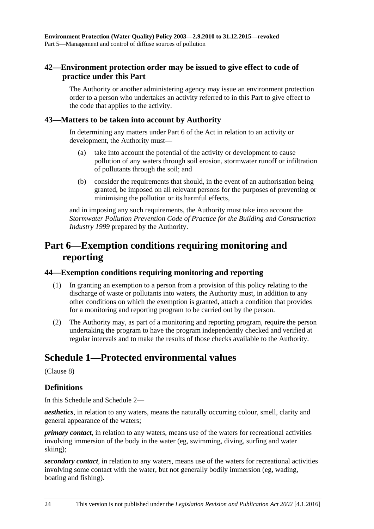### <span id="page-23-0"></span>**42—Environment protection order may be issued to give effect to code of practice under this Part**

The Authority or another administering agency may issue an environment protection order to a person who undertakes an activity referred to in this Part to give effect to the code that applies to the activity.

#### <span id="page-23-1"></span>**43—Matters to be taken into account by Authority**

In determining any matters under Part 6 of the Act in relation to an activity or development, the Authority must—

- (a) take into account the potential of the activity or development to cause pollution of any waters through soil erosion, stormwater runoff or infiltration of pollutants through the soil; and
- (b) consider the requirements that should, in the event of an authorisation being granted, be imposed on all relevant persons for the purposes of preventing or minimising the pollution or its harmful effects,

and in imposing any such requirements, the Authority must take into account the *Stormwater Pollution Prevention Code of Practice for the Building and Construction Industry 1999* prepared by the Authority.

# <span id="page-23-2"></span>**Part 6—Exemption conditions requiring monitoring and reporting**

#### <span id="page-23-3"></span>**44—Exemption conditions requiring monitoring and reporting**

- (1) In granting an exemption to a person from a provision of this policy relating to the discharge of waste or pollutants into waters, the Authority must, in addition to any other conditions on which the exemption is granted, attach a condition that provides for a monitoring and reporting program to be carried out by the person.
- (2) The Authority may, as part of a monitoring and reporting program, require the person undertaking the program to have the program independently checked and verified at regular intervals and to make the results of those checks available to the Authority.

# <span id="page-23-4"></span>**Schedule 1—Protected environmental values**

[\(Clause](#page-5-3) 8)

#### **Definitions**

In this Schedule and [Schedule 2—](#page-25-0)

*aesthetics*, in relation to any waters, means the naturally occurring colour, smell, clarity and general appearance of the waters;

*primary contact*, in relation to any waters, means use of the waters for recreational activities involving immersion of the body in the water (eg, swimming, diving, surfing and water skiing);

*secondary contact*, in relation to any waters, means use of the waters for recreational activities involving some contact with the water, but not generally bodily immersion (eg, wading, boating and fishing).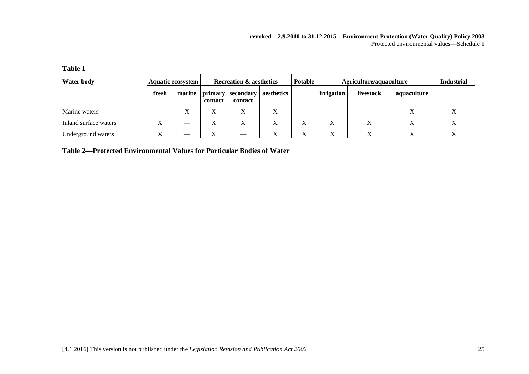**Table 1**

| <b>Water body</b>     |              | Aquatic ecosystem | <b>Recreation &amp; aesthetics</b> |                      | <b>Potable</b> | Agriculture/aquaculture | <b>Industrial</b>        |                          |             |  |
|-----------------------|--------------|-------------------|------------------------------------|----------------------|----------------|-------------------------|--------------------------|--------------------------|-------------|--|
|                       | fresh        |                   | marine   primary<br>contact        | secondary<br>contact | aesthetics     |                         | irrigation               | livestock                | aquaculture |  |
| Marine waters         | $\sim$       | $\Lambda$         | $\mathbf{v}$<br>△                  |                      |                |                         | $\overline{\phantom{a}}$ | $\overline{\phantom{a}}$ |             |  |
| Inland surface waters | $\mathbf{v}$ | __                | v<br>Δ                             |                      |                |                         |                          |                          |             |  |
| Underground waters    | $\mathbf{v}$ |                   | $\mathbf{v}$<br>△                  | __                   |                |                         |                          |                          |             |  |

**Table 2—Protected Environmental Values for Particular Bodies of Water**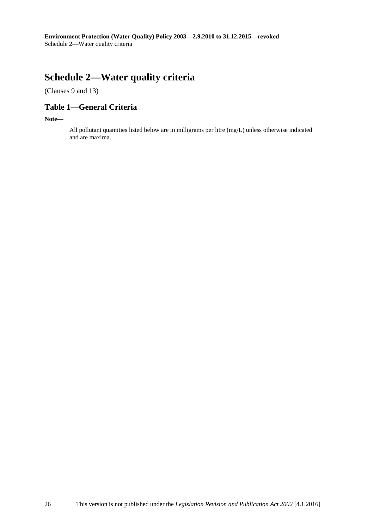# <span id="page-25-0"></span>**Schedule 2—Water quality criteria**

[\(Clauses](#page-6-0) 9 and [13\)](#page-7-0)

## **Table 1—General Criteria**

**Note—**

All pollutant quantities listed below are in milligrams per litre (mg/L) unless otherwise indicated and are maxima.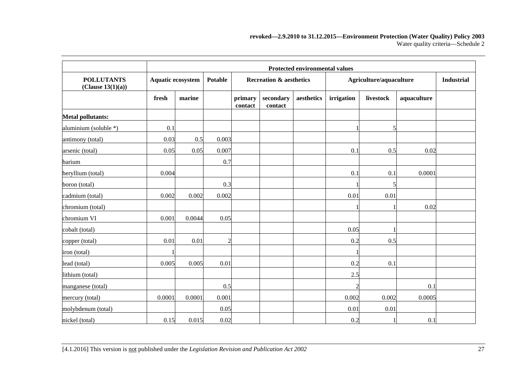|                                        |        | <b>Protected environmental values</b> |                |                    |                                    |            |            |                         |             |  |  |
|----------------------------------------|--------|---------------------------------------|----------------|--------------------|------------------------------------|------------|------------|-------------------------|-------------|--|--|
| <b>POLLUTANTS</b><br>(Clause 13(1)(a)) |        | Aquatic ecosystem                     |                |                    | <b>Recreation &amp; aesthetics</b> |            |            | Agriculture/aquaculture |             |  |  |
|                                        | fresh  | marine                                |                | primary<br>contact | secondary<br>contact               | aesthetics | irrigation | livestock               | aquaculture |  |  |
| <b>Metal pollutants:</b>               |        |                                       |                |                    |                                    |            |            |                         |             |  |  |
| aluminium (soluble *)                  | 0.1    |                                       |                |                    |                                    |            |            |                         |             |  |  |
| antimony (total)                       | 0.03   | 0.5                                   | 0.003          |                    |                                    |            |            |                         |             |  |  |
| arsenic (total)                        | 0.05   | 0.05                                  | 0.007          |                    |                                    |            | 0.1        | 0.5                     | 0.02        |  |  |
| barium                                 |        |                                       | 0.7            |                    |                                    |            |            |                         |             |  |  |
| beryllium (total)                      | 0.004  |                                       |                |                    |                                    |            | 0.1        | 0.1                     | 0.0001      |  |  |
| boron (total)                          |        |                                       | 0.3            |                    |                                    |            |            |                         |             |  |  |
| cadmium (total)                        | 0.002  | 0.002                                 | 0.002          |                    |                                    |            | 0.01       | 0.01                    |             |  |  |
| chromium (total)                       |        |                                       |                |                    |                                    |            |            |                         | 0.02        |  |  |
| chromium VI                            | 0.001  | 0.0044                                | 0.05           |                    |                                    |            |            |                         |             |  |  |
| cobalt (total)                         |        |                                       |                |                    |                                    |            | 0.05       |                         |             |  |  |
| copper (total)                         | 0.01   | 0.01                                  | $\overline{c}$ |                    |                                    |            | 0.2        | 0.5                     |             |  |  |
| iron (total)                           |        |                                       |                |                    |                                    |            |            |                         |             |  |  |
| lead (total)                           | 0.005  | 0.005                                 | 0.01           |                    |                                    |            | 0.2        | 0.1                     |             |  |  |
| lithium (total)                        |        |                                       |                |                    |                                    |            | 2.5        |                         |             |  |  |
| manganese (total)                      |        |                                       | 0.5            |                    |                                    |            | 2          |                         | 0.1         |  |  |
| mercury (total)                        | 0.0001 | 0.0001                                | 0.001          |                    |                                    |            | 0.002      | 0.002                   | 0.0005      |  |  |
| molybdenum (total)                     |        |                                       | 0.05           |                    |                                    |            | 0.01       | 0.01                    |             |  |  |
| nickel (total)                         | 0.15   | 0.015                                 | 0.02           |                    |                                    |            | 0.2        |                         | 0.1         |  |  |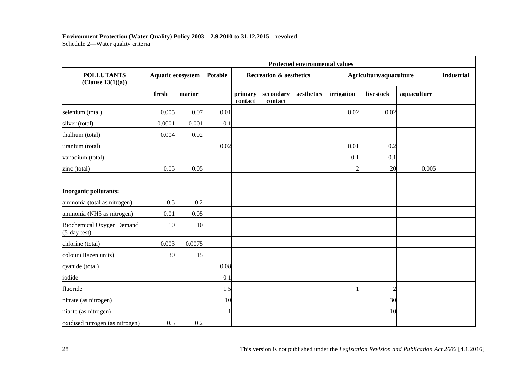## **Environment Protection (Water Quality) Policy 2003—2.9.2010 to 31.12.2015—revoked**

Schedule 2—Water quality criteria

|                                           | Protected environmental values |                   |      |                    |                                    |            |                |                         |             |                   |  |
|-------------------------------------------|--------------------------------|-------------------|------|--------------------|------------------------------------|------------|----------------|-------------------------|-------------|-------------------|--|
| <b>POLLUTANTS</b><br>(Clause 13(1)(a))    |                                | Aquatic ecosystem |      |                    | <b>Recreation &amp; aesthetics</b> |            |                | Agriculture/aquaculture |             | <b>Industrial</b> |  |
|                                           | fresh                          | marine            |      | primary<br>contact | secondary<br>contact               | aesthetics | irrigation     | livestock               | aquaculture |                   |  |
| selenium (total)                          | 0.005                          | 0.07              | 0.01 |                    |                                    |            | 0.02           | 0.02                    |             |                   |  |
| silver (total)                            | 0.0001                         | 0.001             | 0.1  |                    |                                    |            |                |                         |             |                   |  |
| thallium (total)                          | 0.004                          | 0.02              |      |                    |                                    |            |                |                         |             |                   |  |
| uranium (total)                           |                                |                   | 0.02 |                    |                                    |            | 0.01           | 0.2                     |             |                   |  |
| vanadium (total)                          |                                |                   |      |                    |                                    |            | 0.1            | 0.1                     |             |                   |  |
| zinc (total)                              | 0.05                           | 0.05              |      |                    |                                    |            | $\overline{2}$ | 20                      | 0.005       |                   |  |
| Inorganic pollutants:                     |                                |                   |      |                    |                                    |            |                |                         |             |                   |  |
| ammonia (total as nitrogen)               | 0.5                            | 0.2               |      |                    |                                    |            |                |                         |             |                   |  |
| ammonia (NH3 as nitrogen)                 | 0.01                           | 0.05              |      |                    |                                    |            |                |                         |             |                   |  |
| Biochemical Oxygen Demand<br>(5-day test) | 10                             | 10                |      |                    |                                    |            |                |                         |             |                   |  |
| chlorine (total)                          | 0.003                          | 0.0075            |      |                    |                                    |            |                |                         |             |                   |  |
| colour (Hazen units)                      | 30                             | 15                |      |                    |                                    |            |                |                         |             |                   |  |
| cyanide (total)                           |                                |                   | 0.08 |                    |                                    |            |                |                         |             |                   |  |
| iodide                                    |                                |                   | 0.1  |                    |                                    |            |                |                         |             |                   |  |
| fluoride                                  |                                |                   | 1.5  |                    |                                    |            |                | $\overline{2}$          |             |                   |  |
| nitrate (as nitrogen)                     |                                |                   | 10   |                    |                                    |            |                | 30                      |             |                   |  |
| nitrite (as nitrogen)                     |                                |                   |      |                    |                                    |            |                | 10                      |             |                   |  |
| oxidised nitrogen (as nitrogen)           | 0.5                            | 0.2               |      |                    |                                    |            |                |                         |             |                   |  |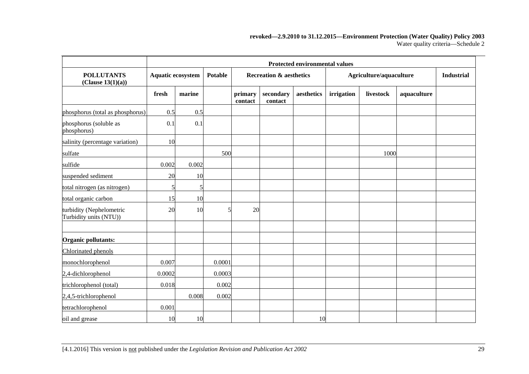#### **revoked—2.9.2010 to 31.12.2015—Environment Protection (Water Quality) Policy 2003** Water quality criteria—Schedule 2

|                                                    | <b>Protected environmental values</b> |        |                |                    |                                    |            |                         |                   |             |  |
|----------------------------------------------------|---------------------------------------|--------|----------------|--------------------|------------------------------------|------------|-------------------------|-------------------|-------------|--|
| <b>POLLUTANTS</b><br>(Clause 13(1)(a))             | Aquatic ecosystem                     |        | <b>Potable</b> |                    | <b>Recreation &amp; aesthetics</b> |            | Agriculture/aquaculture | <b>Industrial</b> |             |  |
|                                                    | fresh                                 | marine |                | primary<br>contact | secondary<br>contact               | aesthetics | irrigation              | livestock         | aquaculture |  |
| phosphorus (total as phosphorus)                   | 0.5                                   | 0.5    |                |                    |                                    |            |                         |                   |             |  |
| phosphorus (soluble as<br>phosphorus)              | 0.1                                   | 0.1    |                |                    |                                    |            |                         |                   |             |  |
| salinity (percentage variation)                    | 10                                    |        |                |                    |                                    |            |                         |                   |             |  |
| sulfate                                            |                                       |        | 500            |                    |                                    |            |                         | 1000              |             |  |
| sulfide                                            | 0.002                                 | 0.002  |                |                    |                                    |            |                         |                   |             |  |
| suspended sediment                                 | 20                                    | 10     |                |                    |                                    |            |                         |                   |             |  |
| total nitrogen (as nitrogen)                       | 5                                     | 5      |                |                    |                                    |            |                         |                   |             |  |
| total organic carbon                               | 15                                    | 10     |                |                    |                                    |            |                         |                   |             |  |
| turbidity (Nephelometric<br>Turbidity units (NTU)) | 20                                    | 10     |                | 20                 |                                    |            |                         |                   |             |  |
| Organic pollutants:                                |                                       |        |                |                    |                                    |            |                         |                   |             |  |
| Chlorinated phenols                                |                                       |        |                |                    |                                    |            |                         |                   |             |  |
| monochlorophenol                                   | 0.007                                 |        | 0.0001         |                    |                                    |            |                         |                   |             |  |
| 2,4-dichlorophenol                                 | 0.0002                                |        | 0.0003         |                    |                                    |            |                         |                   |             |  |
| trichlorophenol (total)                            | 0.018                                 |        | 0.002          |                    |                                    |            |                         |                   |             |  |
| 2,4,5-trichlorophenol                              |                                       | 0.008  | 0.002          |                    |                                    |            |                         |                   |             |  |
| tetrachlorophenol                                  | 0.001                                 |        |                |                    |                                    |            |                         |                   |             |  |
| oil and grease                                     | 10                                    | 10     |                |                    |                                    | 10         |                         |                   |             |  |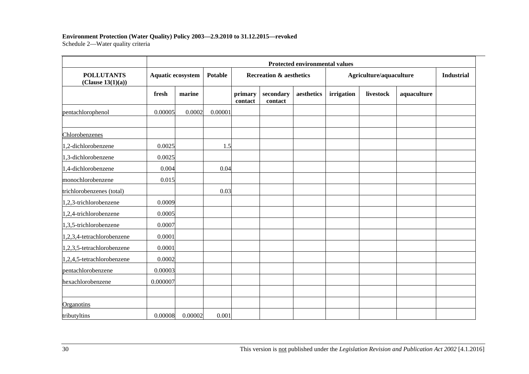# **Environment Protection (Water Quality) Policy 2003—2.9.2010 to 31.12.2015—revoked**

Schedule 2—Water quality criteria

|                                        |          | Protected environmental values |         |                    |                                    |            |            |                         |             |  |  |  |
|----------------------------------------|----------|--------------------------------|---------|--------------------|------------------------------------|------------|------------|-------------------------|-------------|--|--|--|
| <b>POLLUTANTS</b><br>(Clause 13(1)(a)) |          | <b>Aquatic ecosystem</b>       |         |                    | <b>Recreation &amp; aesthetics</b> |            |            | Agriculture/aquaculture |             |  |  |  |
|                                        | fresh    | marine                         |         | primary<br>contact | secondary<br>contact               | aesthetics | irrigation | livestock               | aquaculture |  |  |  |
| pentachlorophenol                      | 0.00005  | 0.0002                         | 0.00001 |                    |                                    |            |            |                         |             |  |  |  |
| Chlorobenzenes                         |          |                                |         |                    |                                    |            |            |                         |             |  |  |  |
| 1,2-dichlorobenzene                    | 0.0025   |                                | 1.5     |                    |                                    |            |            |                         |             |  |  |  |
| 1,3-dichlorobenzene                    | 0.0025   |                                |         |                    |                                    |            |            |                         |             |  |  |  |
| 1,4-dichlorobenzene                    | 0.004    |                                | 0.04    |                    |                                    |            |            |                         |             |  |  |  |
| monochlorobenzene                      | 0.015    |                                |         |                    |                                    |            |            |                         |             |  |  |  |
| trichlorobenzenes (total)              |          |                                | 0.03    |                    |                                    |            |            |                         |             |  |  |  |
| 1,2,3-trichlorobenzene                 | 0.0009   |                                |         |                    |                                    |            |            |                         |             |  |  |  |
| 1,2,4-trichlorobenzene                 | 0.0005   |                                |         |                    |                                    |            |            |                         |             |  |  |  |
| 1,3,5-trichlorobenzene                 | 0.0007   |                                |         |                    |                                    |            |            |                         |             |  |  |  |
| 1,2,3,4-tetrachlorobenzene             | 0.0001   |                                |         |                    |                                    |            |            |                         |             |  |  |  |
| 1,2,3,5-tetrachlorobenzene             | 0.0001   |                                |         |                    |                                    |            |            |                         |             |  |  |  |
| 1,2,4,5-tetrachlorobenzene             | 0.0002   |                                |         |                    |                                    |            |            |                         |             |  |  |  |
| pentachlorobenzene                     | 0.00003  |                                |         |                    |                                    |            |            |                         |             |  |  |  |
| hexachlorobenzene                      | 0.000007 |                                |         |                    |                                    |            |            |                         |             |  |  |  |
| <b>Organotins</b>                      |          |                                |         |                    |                                    |            |            |                         |             |  |  |  |
| tributyltins                           | 0.00008  | 0.00002                        | 0.001   |                    |                                    |            |            |                         |             |  |  |  |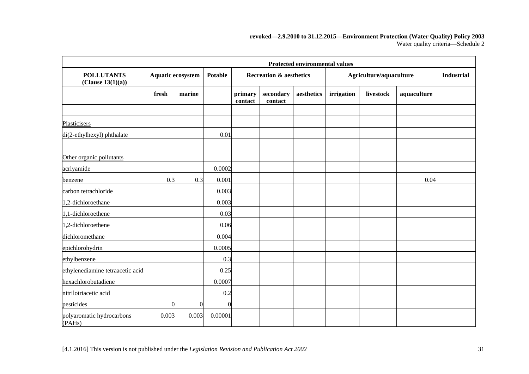#### **revoked—2.9.2010 to 31.12.2015—Environment Protection (Water Quality) Policy 2003** Water quality criteria—Schedule 2

|                                        | <b>Protected environmental values</b> |          |            |                                    |                      |            |                         |                   |             |  |
|----------------------------------------|---------------------------------------|----------|------------|------------------------------------|----------------------|------------|-------------------------|-------------------|-------------|--|
| <b>POLLUTANTS</b><br>(Clause 13(1)(a)) | Aquatic ecosystem                     |          | Potable    | <b>Recreation &amp; aesthetics</b> |                      |            | Agriculture/aquaculture | <b>Industrial</b> |             |  |
|                                        | fresh                                 | marine   |            | primary<br>contact                 | secondary<br>contact | aesthetics | irrigation              | livestock         | aquaculture |  |
|                                        |                                       |          |            |                                    |                      |            |                         |                   |             |  |
| Plasticisers                           |                                       |          |            |                                    |                      |            |                         |                   |             |  |
| di(2-ethylhexyl) phthalate             |                                       |          | 0.01       |                                    |                      |            |                         |                   |             |  |
| Other organic pollutants               |                                       |          |            |                                    |                      |            |                         |                   |             |  |
| acrlyamide                             |                                       |          | 0.0002     |                                    |                      |            |                         |                   |             |  |
| benzene                                | 0.3                                   | 0.3      | 0.001      |                                    |                      |            |                         |                   | 0.04        |  |
| carbon tetrachloride                   |                                       |          | 0.003      |                                    |                      |            |                         |                   |             |  |
| 1,2-dichloroethane                     |                                       |          | 0.003      |                                    |                      |            |                         |                   |             |  |
| 1,1-dichloroethene                     |                                       |          | 0.03       |                                    |                      |            |                         |                   |             |  |
| 1,2-dichloroethene                     |                                       |          | 0.06       |                                    |                      |            |                         |                   |             |  |
| dichloromethane                        |                                       |          | 0.004      |                                    |                      |            |                         |                   |             |  |
| epichlorohydrin                        |                                       |          | 0.0005     |                                    |                      |            |                         |                   |             |  |
| ethylbenzene                           |                                       |          | 0.3        |                                    |                      |            |                         |                   |             |  |
| ethylenediamine tetraacetic acid       |                                       |          | 0.25       |                                    |                      |            |                         |                   |             |  |
| hexachlorobutadiene                    |                                       |          | 0.0007     |                                    |                      |            |                         |                   |             |  |
| nitrilotriacetic acid                  |                                       |          | 0.2        |                                    |                      |            |                         |                   |             |  |
| pesticides                             | 0                                     | $\Omega$ | $\sqrt{ }$ |                                    |                      |            |                         |                   |             |  |
| polyaromatic hydrocarbons<br>(PAHs)    | 0.003                                 | 0.003    | 0.00001    |                                    |                      |            |                         |                   |             |  |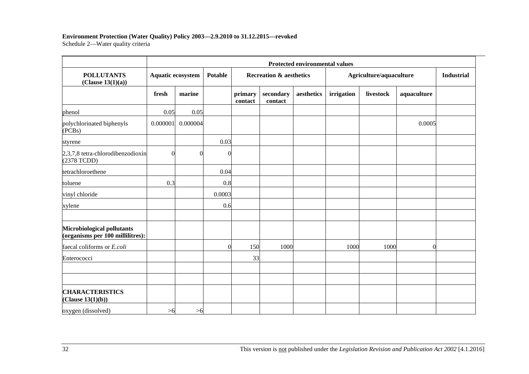### **Environment Protection (Water Quality) Policy 2003—2.9.2010 to 31.12.2015—revoked**

Schedule 2—Water quality criteria

|                                                                | Protected environmental values |          |                |                    |                                    |            |            |                         |             |                   |  |
|----------------------------------------------------------------|--------------------------------|----------|----------------|--------------------|------------------------------------|------------|------------|-------------------------|-------------|-------------------|--|
| <b>POLLUTANTS</b><br>(Clause 13(1)(a))                         | Aquatic ecosystem              |          | <b>Potable</b> |                    | <b>Recreation &amp; aesthetics</b> |            |            | Agriculture/aquaculture |             | <b>Industrial</b> |  |
|                                                                | fresh                          | marine   |                | primary<br>contact | secondary<br>contact               | aesthetics | irrigation | livestock               | aquaculture |                   |  |
| phenol                                                         | 0.05                           | 0.05     |                |                    |                                    |            |            |                         |             |                   |  |
| polychlorinated biphenyls<br>(PCBs)                            | 0.000001                       | 0.000004 |                |                    |                                    |            |            |                         | 0.0005      |                   |  |
| styrene                                                        |                                |          | 0.03           |                    |                                    |            |            |                         |             |                   |  |
| 2,3,7,8 tetra-chlorodibenzodioxin<br>(2378 TCDD)               | $\bigcap$                      | C        | ſ              |                    |                                    |            |            |                         |             |                   |  |
| tetrachloroethene                                              |                                |          | 0.04           |                    |                                    |            |            |                         |             |                   |  |
| toluene                                                        | 0.3                            |          | 0.8            |                    |                                    |            |            |                         |             |                   |  |
| vinyl chloride                                                 |                                |          | 0.0003         |                    |                                    |            |            |                         |             |                   |  |
| xylene                                                         |                                |          | 0.6            |                    |                                    |            |            |                         |             |                   |  |
| Microbiological pollutants<br>(organisms per 100 millilitres): |                                |          |                |                    |                                    |            |            |                         |             |                   |  |
| faecal coliforms or E.coli                                     |                                |          | $\Omega$       | 150                | 1000                               |            | 1000       | 1000                    | $\Omega$    |                   |  |
| Enterococci                                                    |                                |          |                | 33                 |                                    |            |            |                         |             |                   |  |
|                                                                |                                |          |                |                    |                                    |            |            |                         |             |                   |  |
| <b>CHARACTERISTICS</b><br>(Clause 13(1)(b))                    |                                |          |                |                    |                                    |            |            |                         |             |                   |  |
| oxygen (dissolved)                                             | >6                             | >1       |                |                    |                                    |            |            |                         |             |                   |  |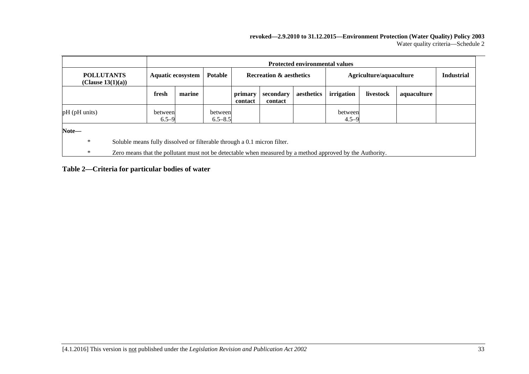#### **revoked—2.9.2010 to 31.12.2015—Environment Protection (Water Quality) Policy 2003** Water quality criteria—Schedule 2

|                                           |                          | <b>Protected environmental values</b>                                                                     |                                                      |                    |                         |            |                      |           |             |                   |
|-------------------------------------------|--------------------------|-----------------------------------------------------------------------------------------------------------|------------------------------------------------------|--------------------|-------------------------|------------|----------------------|-----------|-------------|-------------------|
| <b>POLLUTANTS</b><br>(Clause $13(1)(a)$ ) | <b>Aquatic ecosystem</b> |                                                                                                           | <b>Potable</b><br><b>Recreation &amp; aesthetics</b> |                    | Agriculture/aquaculture |            |                      |           |             | <b>Industrial</b> |
|                                           | fresh                    | marine                                                                                                    |                                                      | primary<br>contact | secondary<br>contact    | aesthetics | irrigation           | livestock | aquaculture |                   |
| $pH$ ( $pH$ units)                        | between<br>$6.5 - 9$     |                                                                                                           | between<br>$6.5 - 8.5$                               |                    |                         |            | between<br>$4.5 - 9$ |           |             |                   |
| Note-                                     |                          |                                                                                                           |                                                      |                    |                         |            |                      |           |             |                   |
| $\ast$                                    |                          | Soluble means fully dissolved or filterable through a 0.1 micron filter.                                  |                                                      |                    |                         |            |                      |           |             |                   |
| $\ast$                                    |                          | Zero means that the pollutant must not be detectable when measured by a method approved by the Authority. |                                                      |                    |                         |            |                      |           |             |                   |

#### **Table 2—Criteria for particular bodies of water**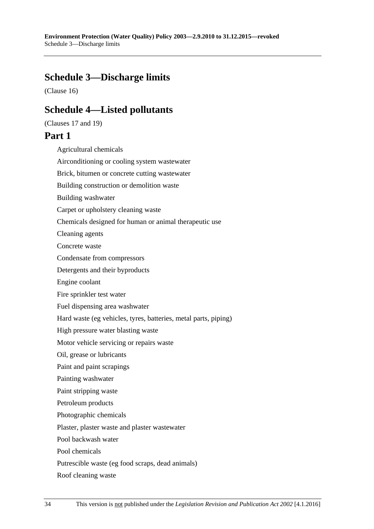# <span id="page-33-1"></span>**Schedule 3—Discharge limits**

<span id="page-33-0"></span>[\(Clause](#page-9-0) 16)

# **Schedule 4—Listed pollutants**

[\(Clauses](#page-9-1) 17 and [19\)](#page-11-0)

# **Part 1**

Agricultural chemicals

Airconditioning or cooling system wastewater Brick, bitumen or concrete cutting wastewater Building construction or demolition waste Building washwater Carpet or upholstery cleaning waste Chemicals designed for human or animal therapeutic use Cleaning agents Concrete waste Condensate from compressors Detergents and their byproducts Engine coolant Fire sprinkler test water Fuel dispensing area washwater Hard waste (eg vehicles, tyres, batteries, metal parts, piping) High pressure water blasting waste Motor vehicle servicing or repairs waste Oil, grease or lubricants Paint and paint scrapings Painting washwater Paint stripping waste Petroleum products Photographic chemicals Plaster, plaster waste and plaster wastewater Pool backwash water Pool chemicals Putrescible waste (eg food scraps, dead animals) Roof cleaning waste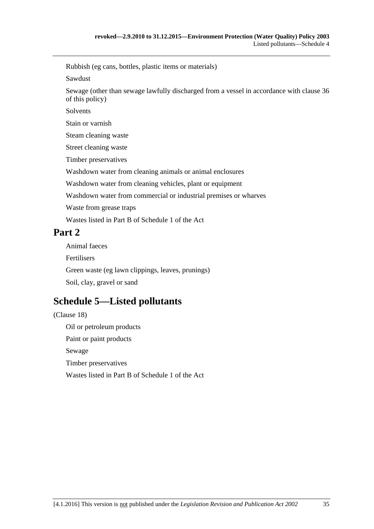Rubbish (eg cans, bottles, plastic items or materials)

Sawdust

Sewage (other than sewage lawfully discharged from a vessel in accordance with [clause](#page-19-1) 36 of this policy)

Solvents

Stain or varnish

Steam cleaning waste

Street cleaning waste

Timber preservatives

Washdown water from cleaning animals or animal enclosures

Washdown water from cleaning vehicles, plant or equipment

Washdown water from commercial or industrial premises or wharves

Waste from grease traps

Wastes listed in Part B of Schedule 1 of the Act

# **Part 2**

Animal faeces Fertilisers Green waste (eg lawn clippings, leaves, prunings) Soil, clay, gravel or sand

# <span id="page-34-0"></span>**Schedule 5—Listed pollutants**

[\(Clause](#page-9-2) 18) Oil or petroleum products Paint or paint products Sewage Timber preservatives Wastes listed in Part B of Schedule 1 of the Act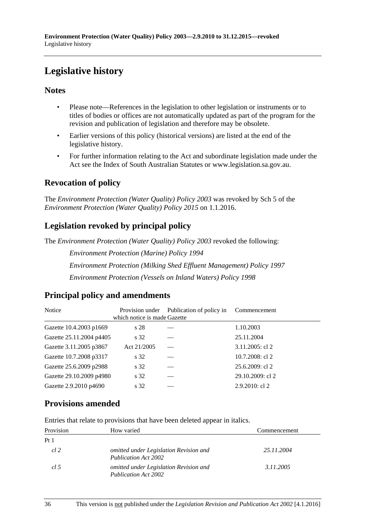# <span id="page-35-0"></span>**Legislative history**

### **Notes**

- Please note—References in the legislation to other legislation or instruments or to titles of bodies or offices are not automatically updated as part of the program for the revision and publication of legislation and therefore may be obsolete.
- Earlier versions of this policy (historical versions) are listed at the end of the legislative history.
- For further information relating to the Act and subordinate legislation made under the Act see the Index of South Australian Statutes or www.legislation.sa.gov.au.

## **Revocation of policy**

The *Environment Protection (Water Quality) Policy 2003* was revoked by Sch 5 of the *Environment Protection (Water Quality) Policy 2015* on 1.1.2016.

# **Legislation revoked by principal policy**

The *Environment Protection (Water Quality) Policy 2003* revoked the following:

*Environment Protection (Marine) Policy 1994*

*Environment Protection (Milking Shed Effluent Management) Policy 1997*

*Environment Protection (Vessels on Inland Waters) Policy 1998*

## **Principal policy and amendments**

| Notice                   | Provision under<br>which notice is made Gazette | Publication of policy in | Commencement      |
|--------------------------|-------------------------------------------------|--------------------------|-------------------|
| Gazette 10.4.2003 p1669  | s 28                                            |                          | 1.10.2003         |
| Gazette 25.11.2004 p4405 | s 32                                            |                          | 25.11.2004        |
| Gazette 3.11.2005 p3867  | Act 21/2005                                     |                          | 3.11.2005: cl 2   |
| Gazette 10.7.2008 p3317  | s 32                                            |                          | 10.7.2008: cl 2   |
| Gazette 25.6.2009 p2988  | s 32                                            |                          | 25.6.2009: cl 2   |
| Gazette 29.10.2009 p4980 | s 32                                            |                          | 29.10.2009: cl 2  |
| Gazette 2.9.2010 p4690   | s 32                                            |                          | $2.9.2010$ : cl 2 |

## **Provisions amended**

Entries that relate to provisions that have been deleted appear in italics.

| Provision       | How varied                                                     | Commencement |
|-----------------|----------------------------------------------------------------|--------------|
| Pt <sub>1</sub> |                                                                |              |
| cl 2            | omitted under Legislation Revision and<br>Publication Act 2002 | 25.11.2004   |
| cl.5            | omitted under Legislation Revision and<br>Publication Act 2002 | 3.11.2005    |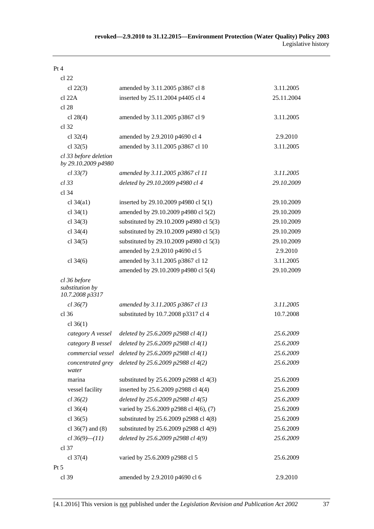| Pt 4                                               |                                                             |            |
|----------------------------------------------------|-------------------------------------------------------------|------------|
| cl 22                                              |                                                             |            |
| cl $22(3)$                                         | amended by 3.11.2005 p3867 cl 8                             | 3.11.2005  |
| cl 22A                                             | inserted by 25.11.2004 p4405 cl 4                           | 25.11.2004 |
| cl 28                                              |                                                             |            |
| cl $28(4)$                                         | amended by 3.11.2005 p3867 cl 9                             | 3.11.2005  |
| cl 32                                              |                                                             |            |
| cl $32(4)$                                         | amended by 2.9.2010 p4690 cl 4                              | 2.9.2010   |
| cl $32(5)$                                         | amended by 3.11.2005 p3867 cl 10                            | 3.11.2005  |
| cl 33 before deletion<br>by 29.10.2009 p4980       |                                                             |            |
| cl 33(7)                                           | amended by 3.11.2005 p3867 cl 11                            | 3.11.2005  |
| $cl$ 33                                            | deleted by 29.10.2009 p4980 cl 4                            | 29.10.2009 |
| cl 34                                              |                                                             |            |
| cl $34(a1)$                                        | inserted by 29.10.2009 p4980 cl 5(1)                        | 29.10.2009 |
| cl $34(1)$                                         | amended by 29.10.2009 p4980 cl 5(2)                         | 29.10.2009 |
| cl $34(3)$                                         | substituted by 29.10.2009 p4980 cl 5(3)                     | 29.10.2009 |
| cl $34(4)$                                         | substituted by 29.10.2009 p4980 cl 5(3)                     | 29.10.2009 |
| cl $34(5)$                                         | substituted by 29.10.2009 p4980 cl 5(3)                     | 29.10.2009 |
|                                                    | amended by 2.9.2010 p4690 cl 5                              | 2.9.2010   |
| cl $34(6)$                                         | amended by 3.11.2005 p3867 cl 12                            | 3.11.2005  |
|                                                    | amended by 29.10.2009 p4980 cl 5(4)                         | 29.10.2009 |
| cl 36 before<br>substitution by<br>10.7.2008 p3317 |                                                             |            |
| cl 36(7)                                           | amended by 3.11.2005 p3867 cl 13                            | 3.11.2005  |
| $cl$ 36                                            | substituted by 10.7.2008 p3317 cl 4                         | 10.7.2008  |
| cl $36(1)$                                         |                                                             |            |
| category A vessel                                  | deleted by 25.6.2009 p2988 cl 4(1)                          | 25.6.2009  |
|                                                    | category B vessel deleted by 25.6.2009 p2988 cl $4(1)$      | 25.6.2009  |
|                                                    | commercial vessel deleted by $25.6.2009$ p $2988$ cl $4(1)$ | 25.6.2009  |
| concentrated grey<br>water                         | deleted by 25.6.2009 p2988 cl 4(2)                          | 25.6.2009  |
| marina                                             | substituted by 25.6.2009 p2988 cl 4(3)                      | 25.6.2009  |
| vessel facility                                    | inserted by 25.6.2009 p2988 cl 4(4)                         | 25.6.2009  |
| cl 36(2)                                           | deleted by 25.6.2009 p2988 cl 4(5)                          | 25.6.2009  |
| cl $36(4)$                                         | varied by 25.6.2009 p2988 cl 4(6), (7)                      | 25.6.2009  |
| cl $36(5)$                                         | substituted by 25.6.2009 p2988 cl 4(8)                      | 25.6.2009  |
| cl $36(7)$ and $(8)$                               | substituted by 25.6.2009 p2988 cl 4(9)                      | 25.6.2009  |
| $cl 36(9) - (11)$                                  | deleted by 25.6.2009 p2988 cl 4(9)                          | 25.6.2009  |
| $cl$ 37                                            |                                                             |            |
| cl $37(4)$                                         | varied by 25.6.2009 p2988 cl 5                              | 25.6.2009  |
| Pt 5                                               |                                                             |            |
| cl 39                                              | amended by 2.9.2010 p4690 cl 6                              | 2.9.2010   |